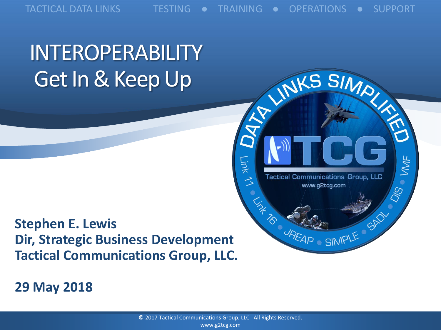TACTICAL DATA LINKS TESTING ● TRAINING ● OPERATIONS ● SUPPORT

INKS SIMPLY

**Tactical Communications Group, LLC** 

www.g2tcg.com

REAP SIMPLE SAD

 $\bullet$   $M_F$ 

Do<br>Co

## INTEROPERABILITY Get In & Keep Up



**29 May 2018**



Link 11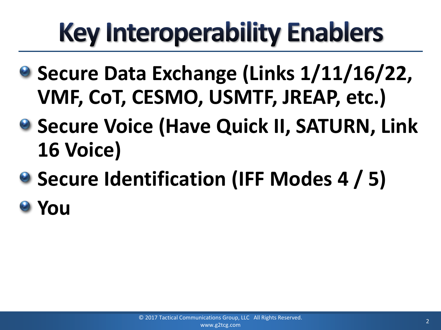## **Key Interoperability Enablers**

- **Secure Data Exchange (Links 1/11/16/22, VMF, CoT, CESMO, USMTF, JREAP, etc.)**
- **8 Secure Voice (Have Quick II, SATURN, Link 16 Voice)**
- **Secure Identification (IFF Modes 4 / 5)**
- **You**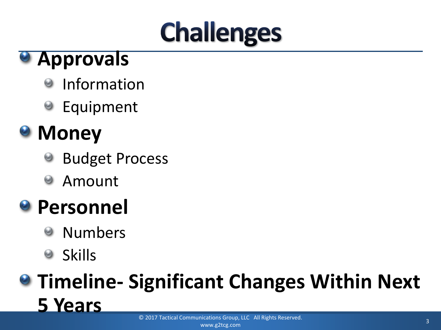## **Challenges**

#### **Approvals**

- Information 0
- Equipment

### **a** Money

- Budget Process
- Amount Θ

### **Personnel**

- Numbers မ
- **Skills**  $\Theta$

## **Timeline- Significant Changes Within Next 5 Years**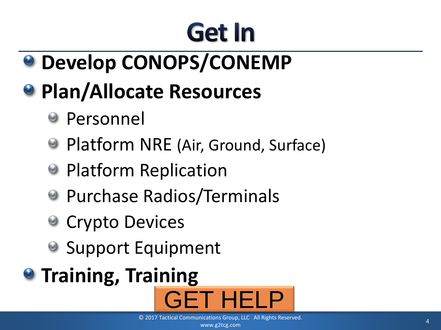## Get In

**Develop CONOPS/CONEMP**

## **Plan/Allocate Resources**

- Personnel
- Platform NRE (Air, Ground, Surface)
- **Platform Replication**
- **Purchase Radios/Terminals**
- **Crypto Devices**
- Support Equipment
- **<sup>O</sup>** Training, Training

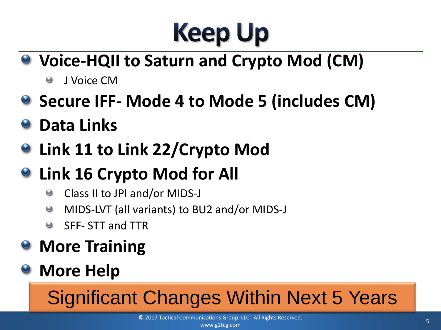## **Keep Up**

- **Voice-HQII to Saturn and Crypto Mod (CM)**
	- J Voice CM  $\Theta$
- **8 Secure IFF- Mode 4 to Mode 5 (includes CM)**
- **Data Links**
- **Link 11 to Link 22/Crypto Mod**
- **Link 16 Crypto Mod for All**
	- Class II to JPI and/or MIDS-J  $\odot$
	- MIDS-LVT (all variants) to BU2 and/or MIDS-J  $\bullet$
	- SFF- STT and TTR  $\odot$
- **More Training**

#### **More Help**

## Significant Changes Within Next 5 Years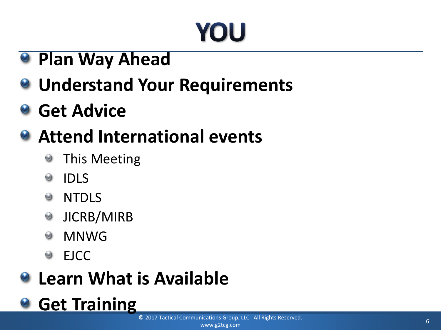## YOU

- **Plan Way Ahead**
- **Understand Your Requirements**
- **a** Get Advice

#### **Attend International events**

- This Meeting  $\bm{\Theta}$
- IDLS  $\odot$
- NTDLS 0
- JICRB/MIRB 0
- MNWG  $\Theta$
- EJCC 0

#### **Q.** Learn What is Available

**Get Training**